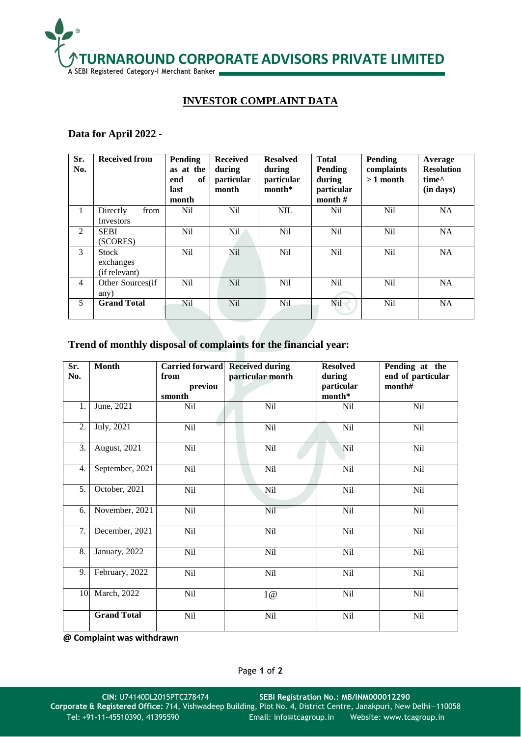

## **INVESTOR COMPLAINT DATA**

## **Data for April 2022 -**

| Sr.<br>No.     | <b>Received from</b>                       | Pending<br>as at the<br>end<br>of<br>last<br>month | <b>Received</b><br>during<br>particular<br>month | <b>Resolved</b><br>during<br>particular<br>$month*$ | <b>Total</b><br><b>Pending</b><br>during<br>particular<br>month $#$ | Pending<br>complaints<br>$>1$ month | Average<br><b>Resolution</b><br>time <sup><math>\wedge</math></sup><br>(in days) |
|----------------|--------------------------------------------|----------------------------------------------------|--------------------------------------------------|-----------------------------------------------------|---------------------------------------------------------------------|-------------------------------------|----------------------------------------------------------------------------------|
| $\mathbf{1}$   | Directly<br>from<br>Investors              | N <sub>il</sub>                                    | N <sub>il</sub>                                  | <b>NIL</b>                                          | N <sub>il</sub>                                                     | N <sub>il</sub>                     | <b>NA</b>                                                                        |
| 2              | <b>SEBI</b><br>(SCORES)                    | Nil                                                | Nil.                                             | Nil                                                 | <b>Nil</b>                                                          | <b>Nil</b>                          | <b>NA</b>                                                                        |
| 3              | <b>Stock</b><br>exchanges<br>(if relevant) | Nil                                                | <b>Nil</b>                                       | Nil                                                 | <b>Nil</b>                                                          | N <sub>il</sub>                     | <b>NA</b>                                                                        |
| $\overline{4}$ | Other Sources(if<br>any)                   | N <sub>il</sub>                                    | N <sub>il</sub>                                  | Nil                                                 | Nil                                                                 | Nil                                 | <b>NA</b>                                                                        |
| 5              | <b>Grand Total</b>                         | Nil                                                | <b>Nil</b>                                       | N <sub>il</sub>                                     | Nil                                                                 | N <sub>il</sub>                     | <b>NA</b>                                                                        |

## **Trend of monthly disposal of complaints for the financial year:**

| Sr.<br>No.       | <b>Month</b><br><b>Carried forward</b><br>from |                   | <b>Received during</b><br>particular month | <b>Resolved</b><br>during | Pending at the<br>end of particular |
|------------------|------------------------------------------------|-------------------|--------------------------------------------|---------------------------|-------------------------------------|
|                  |                                                | previou<br>smonth |                                            | particular<br>$month*$    | month#                              |
| 1.               | June, 2021                                     | Nil               | Nil                                        | Nil                       | Nil                                 |
| 2.               | July, 2021                                     | Nil               | Nil                                        | Nil                       | Nil                                 |
| 3.               | August, 2021                                   | Nil               | Nil                                        | Nil                       | Nil                                 |
| 4.               | September, 2021                                | Nil               | Nil                                        | Nil                       | Nil                                 |
| 5.               | October, 2021                                  | Nil               | Nil                                        | Nil                       | Nil                                 |
| 6.               | November, 2021                                 | Nil               | Nil                                        | Nil                       | Nil                                 |
| 7.               | December, 2021                                 | Nil               | Nil                                        | Nil                       | Nil                                 |
| $\overline{8}$ . | January, 2022                                  | Nil               | Nil                                        | Nil                       | Nil                                 |
| 9.               | February, 2022                                 | Nil               | Nil                                        | Nil                       | Nil                                 |
| 10.              | March, 2022                                    | Nil               | 1@                                         | Nil                       | Nil                                 |
|                  | <b>Grand Total</b>                             | Nil               | Nil                                        | Nil                       | Nil                                 |

**@ Complaint was withdrawn**